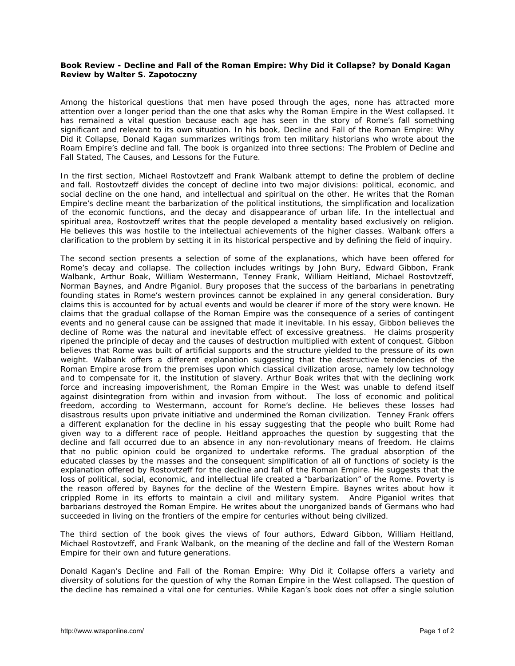## **Book Review - Decline and Fall of the Roman Empire: Why Did it Collapse? by Donald Kagan Review by Walter S. Zapotoczny**

Among the historical questions that men have posed through the ages, none has attracted more attention over a longer period than the one that asks why the Roman Empire in the West collapsed. It has remained a vital question because each age has seen in the story of Rome's fall something significant and relevant to its own situation. In his book, *Decline and Fall of the Roman Empire: Why Did it Collapse,* Donald Kagan summarizes writings from ten military historians who wrote about the Roam Empire's decline and fall. The book is organized into three sections: The Problem of Decline and Fall Stated, The Causes, and Lessons for the Future.

In the first section, Michael Rostovtzeff and Frank Walbank attempt to define the problem of decline and fall. Rostovtzeff divides the concept of decline into two major divisions: political, economic, and social decline on the one hand, and intellectual and spiritual on the other. He writes that the Roman Empire's decline meant the barbarization of the political institutions, the simplification and localization of the economic functions, and the decay and disappearance of urban life. In the intellectual and spiritual area, Rostovtzeff writes that the people developed a mentality based exclusively on religion. He believes this was hostile to the intellectual achievements of the higher classes. Walbank offers a clarification to the problem by setting it in its historical perspective and by defining the field of inquiry.

The second section presents a selection of some of the explanations, which have been offered for Rome's decay and collapse. The collection includes writings by John Bury, Edward Gibbon, Frank Walbank, Arthur Boak, William Westermann, Tenney Frank, William Heitland, Michael Rostovtzeff, Norman Baynes, and Andre Piganiol. Bury proposes that the success of the barbarians in penetrating founding states in Rome's western provinces cannot be explained in any general consideration. Bury claims this is accounted for by actual events and would be clearer if more of the story were known. He claims that the gradual collapse of the Roman Empire was the consequence of a series of contingent events and no general cause can be assigned that made it inevitable. In his essay, Gibbon believes the decline of Rome was the natural and inevitable effect of excessive greatness. He claims prosperity ripened the principle of decay and the causes of destruction multiplied with extent of conquest. Gibbon believes that Rome was built of artificial supports and the structure yielded to the pressure of its own weight. Walbank offers a different explanation suggesting that the destructive tendencies of the Roman Empire arose from the premises upon which classical civilization arose, namely low technology and to compensate for it, the institution of slavery. Arthur Boak writes that with the declining work force and increasing impoverishment, the Roman Empire in the West was unable to defend itself against disintegration from within and invasion from without. The loss of economic and political freedom, according to Westermann, account for Rome's decline. He believes these losses had disastrous results upon private initiative and undermined the Roman civilization. Tenney Frank offers a different explanation for the decline in his essay suggesting that the people who built Rome had given way to a different race of people. Heitland approaches the question by suggesting that the decline and fall occurred due to an absence in any non-revolutionary means of freedom. He claims that no public opinion could be organized to undertake reforms. The gradual absorption of the educated classes by the masses and the consequent simplification of all of functions of society is the explanation offered by Rostovtzeff for the decline and fall of the Roman Empire. He suggests that the loss of political, social, economic, and intellectual life created a "barbarization" of the Rome. Poverty is the reason offered by Baynes for the decline of the Western Empire. Baynes writes about how it crippled Rome in its efforts to maintain a civil and military system. Andre Piganiol writes that barbarians destroyed the Roman Empire. He writes about the unorganized bands of Germans who had succeeded in living on the frontiers of the empire for centuries without being civilized.

The third section of the book gives the views of four authors, Edward Gibbon, William Heitland, Michael Rostovtzeff, and Frank Walbank, on the meaning of the decline and fall of the Western Roman Empire for their own and future generations.

Donald Kagan's *Decline and Fall of the Roman Empire: Why Did it Collapse* offers a variety and diversity of solutions for the question of why the Roman Empire in the West collapsed. The question of the decline has remained a vital one for centuries. While Kagan's book does not offer a single solution